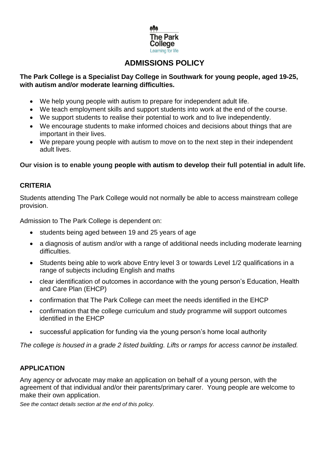

# **ADMISSIONS POLICY**

## **The Park College is a Specialist Day College in Southwark for young people, aged 19-25, with autism and/or moderate learning difficulties.**

- We help young people with autism to prepare for independent adult life.
- We teach employment skills and support students into work at the end of the course.
- We support students to realise their potential to work and to live independently.
- We encourage students to make informed choices and decisions about things that are important in their lives.
- We prepare young people with autism to move on to the next step in their independent adult lives.

**Our vision is to enable young people with autism to develop their full potential in adult life.** 

## **CRITERIA**

Students attending The Park College would not normally be able to access mainstream college provision.

Admission to The Park College is dependent on:

- students being aged between 19 and 25 years of age
- a diagnosis of autism and/or with a range of additional needs including moderate learning difficulties.
- Students being able to work above Entry level 3 or towards Level 1/2 qualifications in a range of subjects including English and maths
- clear identification of outcomes in accordance with the young person's Education, Health and Care Plan (EHCP)
- confirmation that The Park College can meet the needs identified in the EHCP
- confirmation that the college curriculum and study programme will support outcomes identified in the EHCP
- successful application for funding via the young person's home local authority

*The college is housed in a grade 2 listed building. Lifts or ramps for access cannot be installed.* 

## **APPLICATION**

Any agency or advocate may make an application on behalf of a young person, with the agreement of that individual and/or their parents/primary carer. Young people are welcome to make their own application.

*See the contact details section at the end of this policy.*